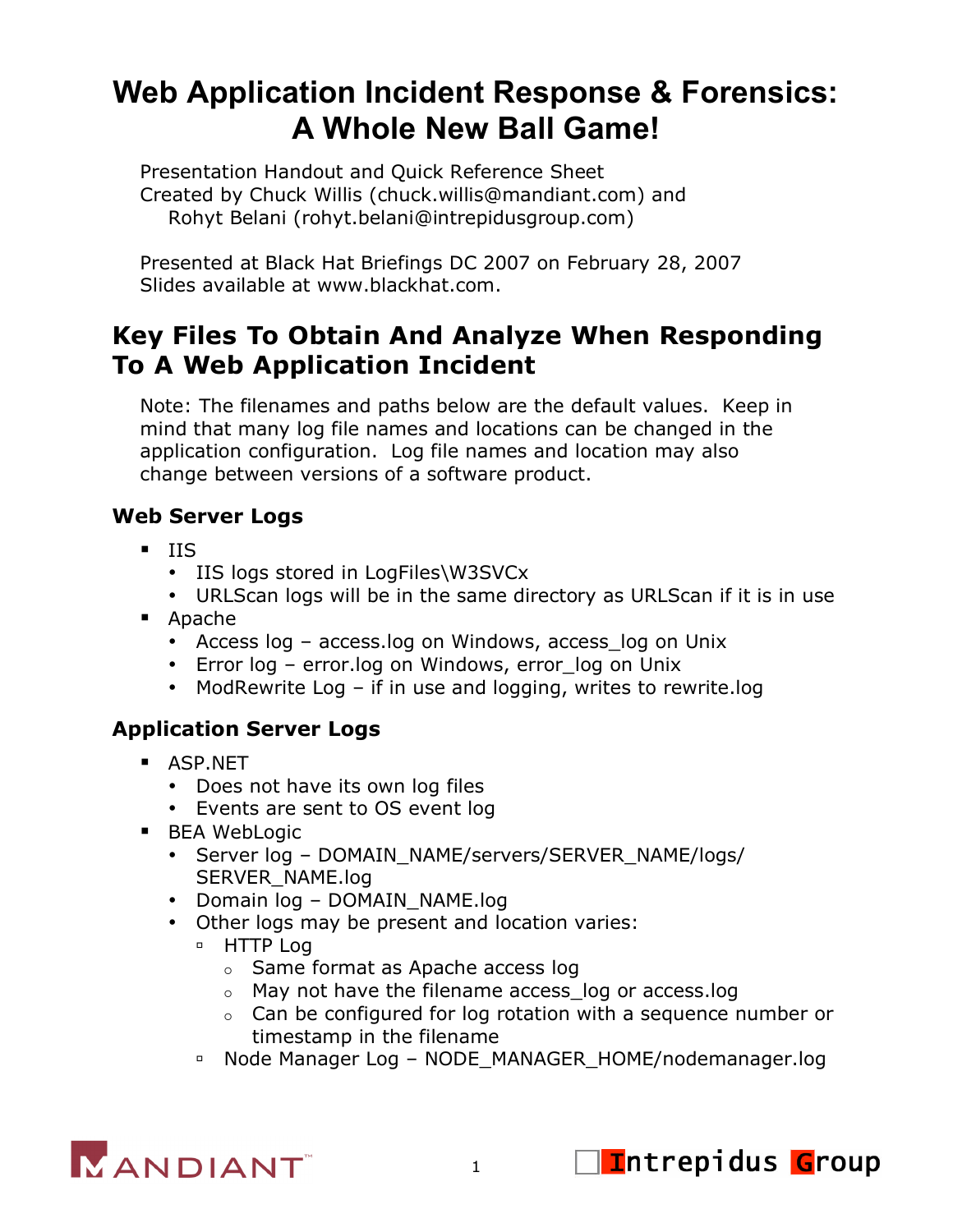# **Web Application Incident Response & Forensics: A Whole New Ball Game!**

Presentation Handout and Quick Reference Sheet Created by Chuck Willis (chuck.willis@mandiant.com) and Rohyt Belani (rohyt.belani@intrepidusgroup.com)

Presented at Black Hat Briefings DC 2007 on February 28, 2007 Slides available at www.blackhat.com.

# **Key Files To Obtain And Analyze When Responding To A Web Application Incident**

Note: The filenames and paths below are the default values. Keep in mind that many log file names and locations can be changed in the application configuration. Log file names and location may also change between versions of a software product.

#### **Web Server Logs**

- $IIS$ 
	- IIS logs stored in LogFiles\W3SVCx
	- URLScan logs will be in the same directory as URLScan if it is in use
- Apache
	- Access log access.log on Windows, access\_log on Unix
	- Error log error.log on Windows, error log on Unix
	- ModRewrite Log if in use and logging, writes to rewrite.log

#### **Application Server Logs**

- **B** ASP.NET
	- Does not have its own log files
	- Events are sent to OS event log
- **BEA WebLogic** 
	- Server log DOMAIN\_NAME/servers/SERVER\_NAME/logs/ SERVER\_NAME.log
	- Domain log DOMAIN\_NAME.log
	- Other logs may be present and location varies:
		- **B** HTTP Log
			- $\circ$  Same format as Apache access log
			- o May not have the filename access\_log or access.log
			- $\circ$  Can be configured for log rotation with a sequence number or timestamp in the filename
		- Node Manager Log NODE\_MANAGER\_HOME/nodemanager.log



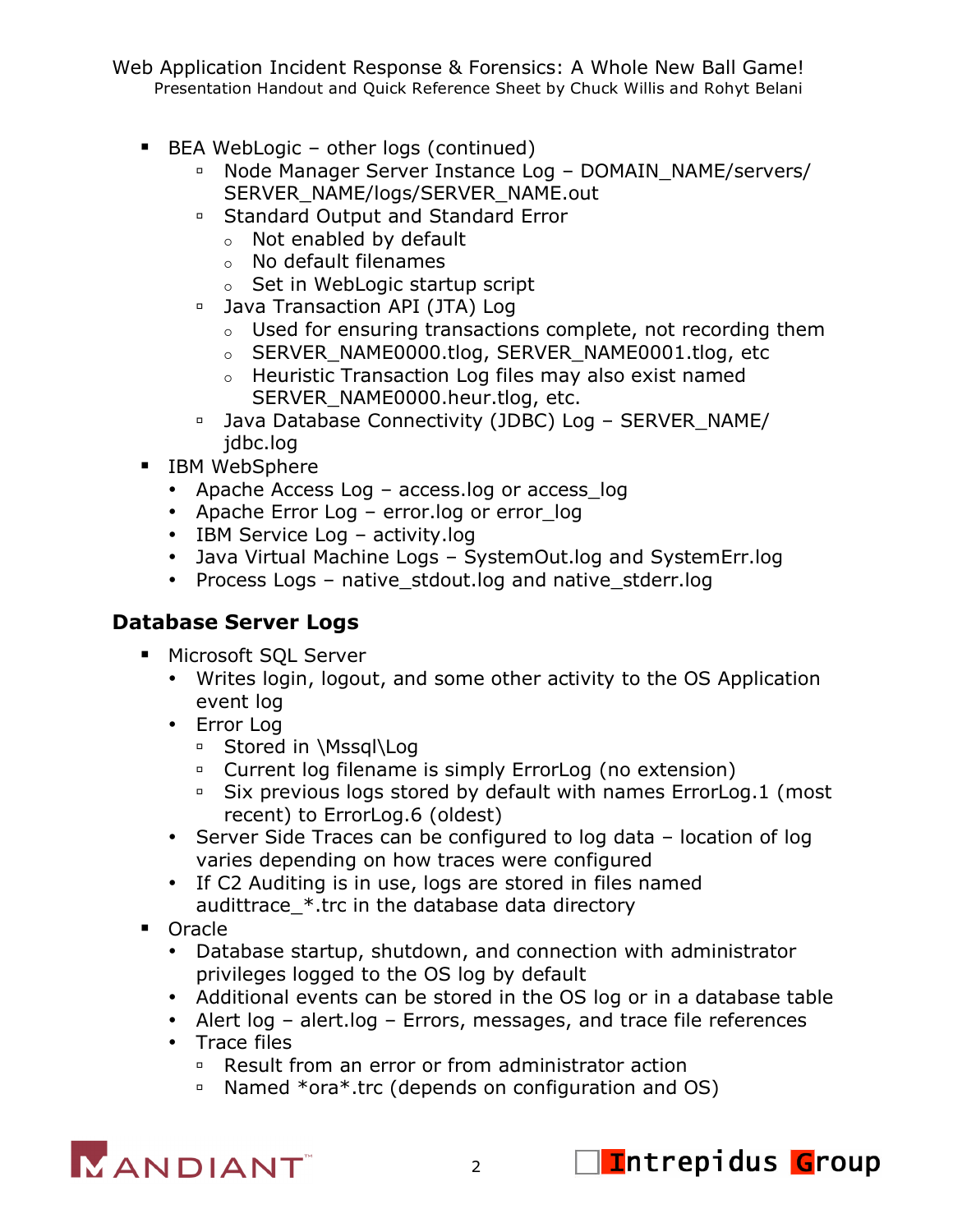Web Application Incident Response & Forensics: A Whole New Ball Game! Presentation Handout and Quick Reference Sheet by Chuck Willis and Rohyt Belani

- BEA WebLogic other logs (continued)
	- □ Node Manager Server Instance Log DOMAIN\_NAME/servers/ SERVER\_NAME/logs/SERVER\_NAME.out
	- Standard Output and Standard Error
		- Not enabled by default
		- No default filenames
		- $\circ$  Set in WebLogic startup script
	- **Java Transaction API (JTA) Log** 
		- Used for ensuring transactions complete, not recording them
		- o SERVER\_NAME0000.tlog, SERVER\_NAME0001.tlog, etc
		- Heuristic Transaction Log files may also exist named SERVER\_NAME0000.heur.tlog, etc.
	- □ Java Database Connectivity (JDBC) Log SERVER\_NAME/ jdbc.log
- **IBM WebSphere** 
	- Apache Access Log access.log or access log
	- Apache Error Log error.log or error log
	- IBM Service Log activity.log
	- Java Virtual Machine Logs SystemOut.log and SystemErr.log
	- Process Logs native\_stdout.log and native\_stderr.log

## **Database Server Logs**

- **Microsoft SQL Server** 
	- Writes login, logout, and some other activity to the OS Application event log
	- Error Log
		- □ Stored in \Mssql\Log
		- <sup>o</sup> Current log filename is simply ErrorLog (no extension)
		- Six previous logs stored by default with names ErrorLog.1 (most recent) to ErrorLog.6 (oldest)
	- Server Side Traces can be configured to log data location of log varies depending on how traces were configured
	- If C2 Auditing is in use, logs are stored in files named audittrace\_\*.trc in the database data directory
- **Oracle** 
	- Database startup, shutdown, and connection with administrator privileges logged to the OS log by default
	- Additional events can be stored in the OS log or in a database table
	- Alert log alert.log Errors, messages, and trace file references
	- Trace files
		- □ Result from an error or from administrator action
		- Named \*ora\*.trc (depends on configuration and OS)